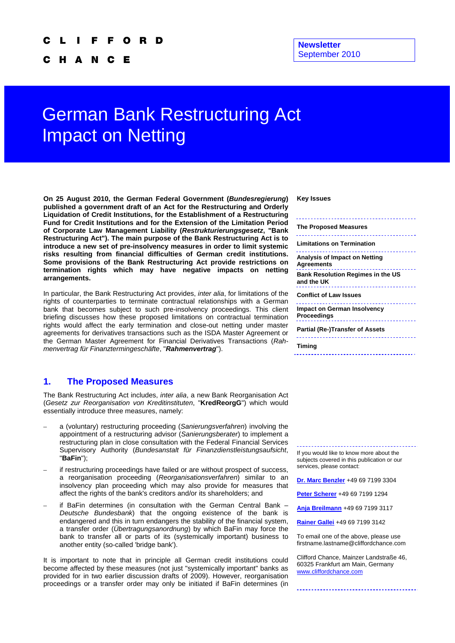C H A N - C Е

#### **Newsletter**  September 2010

# German Bank Restructuring Act Impact on Netting

**On 25 August 2010, the German Federal Government (***Bundesregierung***) published a government draft of an Act for the Restructuring and Orderly Liquidation of Credit Institutions, for the Establishment of a Restructuring Fund for Credit Institutions and for the Extension of the Limitation Period of Corporate Law Management Liability (***Restrukturierungsgesetz***, "Bank Restructuring Act"). The main purpose of the Bank Restructuring Act is to introduce a new set of pre-insolvency measures in order to limit systemic risks resulting from financial difficulties of German credit institutions. Some provisions of the Bank Restructuring Act provide restrictions on termination rights which may have negative impacts on netting arrangements.** 

In particular, the Bank Restructuring Act provides, *inter alia*, for limitations of the rights of counterparties to terminate contractual relationships with a German bank that becomes subject to such pre-insolvency proceedings. This client briefing discusses how these proposed limitations on contractual termination rights would affect the early termination and close-out netting under master agreements for derivatives transactions such as the ISDA Master Agreement or the German Master Agreement for Financial Derivatives Transactions (*Rahmenvertrag für Finanztermingeschäfte*, "*Rahmenvertrag*").

## **1. The Proposed Measures**

The Bank Restructuring Act includes, *inter alia*, a new Bank Reorganisation Act (*Gesetz zur Reorganisation von Kreditinstituten*, "**KredReorgG**") which would essentially introduce three measures, namely:

- a (voluntary) restructuring proceeding (*Sanierungsverfahren*) involving the appointment of a restructuring advisor (*Sanierungsberater*) to implement a restructuring plan in close consultation with the Federal Financial Services Supervisory Authority (*Bundesanstalt für Finanzdienstleistungsaufsicht*, "**BaFin**");
- if restructuring proceedings have failed or are without prospect of success, a reorganisation proceeding (*Reorganisationsverfahren*) similar to an insolvency plan proceeding which may also provide for measures that affect the rights of the bank's creditors and/or its shareholders; and
- if BaFin determines (in consultation with the German Central Bank -*Deutsche Bundesbank*) that the ongoing existence of the bank is endangered and this in turn endangers the stability of the financial system, a transfer order (*Übertragungsanordnung*) by which BaFin may force the bank to transfer all or parts of its (systemically important) business to another entity (so-called 'bridge bank').

It is important to note that in principle all German credit institutions could become affected by these measures (not just "systemically important" banks as provided for in two earlier discussion drafts of 2009). However, reorganisation proceedings or a transfer order may only be initiated if BaFin determines (in

**Key Issues** 

| <b>The Proposed Measures</b>                           |
|--------------------------------------------------------|
| Limitations on Termination                             |
| Analysis of Impact on Netting<br><b>Agreements</b>     |
| <b>Bank Resolution Regimes in the US</b><br>and the UK |
| <b>Conflict of Law Issues</b>                          |
| <b>Impact on German Insolvency</b><br>Proceedings      |
| Partial (Re-)Transfer of Assets                        |
| Timing                                                 |

If you would like to know more about the subjects covered in this publication or our services, please contact:

**Dr. Marc Benzler** +49 69 7199 3304

**Peter Scherer** +49 69 7199 1294

**Anja Breilmann** +49 69 7199 3117

**Rainer Gallei** +49 69 7199 3142

To email one of the above, please use firstname.lastname@cliffordchance.com

Clifford Chance, Mainzer Landstraße 46, 60325 Frankfurt am Main, Germany www.cliffordchance.com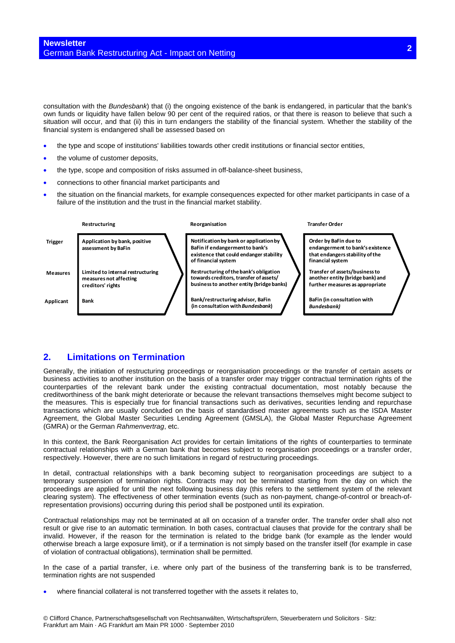consultation with the *Bundesbank*) that (i) the ongoing existence of the bank is endangered, in particular that the bank's own funds or liquidity have fallen below 90 per cent of the required ratios, or that there is reason to believe that such a situation will occur, and that (ii) this in turn endangers the stability of the financial system. Whether the stability of the financial system is endangered shall be assessed based on

- the type and scope of institutions' liabilities towards other credit institutions or financial sector entities,
- the volume of customer deposits,
- the type, scope and composition of risks assumed in off-balance-sheet business,
- connections to other financial market participants and
- the situation on the financial markets, for example consequences expected for other market participants in case of a failure of the institution and the trust in the financial market stability.



## **2. Limitations on Termination**

Generally, the initiation of restructuring proceedings or reorganisation proceedings or the transfer of certain assets or business activities to another institution on the basis of a transfer order may trigger contractual termination rights of the counterparties of the relevant bank under the existing contractual documentation, most notably because the creditworthiness of the bank might deteriorate or because the relevant transactions themselves might become subject to the measures. This is especially true for financial transactions such as derivatives, securities lending and repurchase transactions which are usually concluded on the basis of standardised master agreements such as the ISDA Master Agreement, the Global Master Securities Lending Agreement (GMSLA), the Global Master Repurchase Agreement (GMRA) or the German *Rahmenvertrag*, etc.

In this context, the Bank Reorganisation Act provides for certain limitations of the rights of counterparties to terminate contractual relationships with a German bank that becomes subject to reorganisation proceedings or a transfer order, respectively. However, there are no such limitations in regard of restructuring proceedings.

In detail, contractual relationships with a bank becoming subject to reorganisation proceedings are subject to a temporary suspension of termination rights. Contracts may not be terminated starting from the day on which the proceedings are applied for until the next following business day (this refers to the settlement system of the relevant clearing system). The effectiveness of other termination events (such as non-payment, change-of-control or breach-ofrepresentation provisions) occurring during this period shall be postponed until its expiration.

Contractual relationships may not be terminated at all on occasion of a transfer order. The transfer order shall also not result or give rise to an automatic termination. In both cases, contractual clauses that provide for the contrary shall be invalid. However, if the reason for the termination is related to the bridge bank (for example as the lender would otherwise breach a large exposure limit), or if a termination is not simply based on the transfer itself (for example in case of violation of contractual obligations), termination shall be permitted.

In the case of a partial transfer, i.e. where only part of the business of the transferring bank is to be transferred, termination rights are not suspended

where financial collateral is not transferred together with the assets it relates to,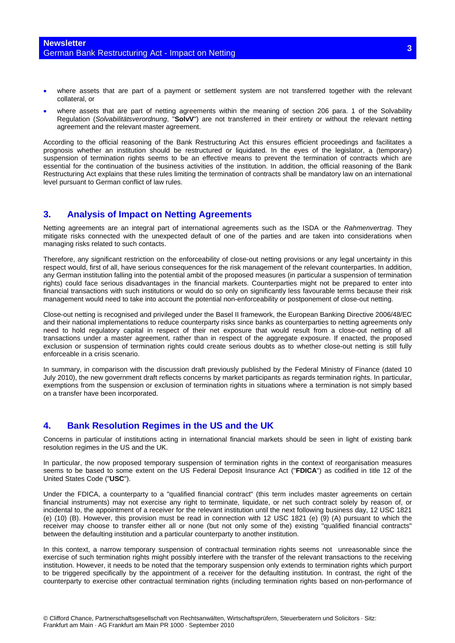- where assets that are part of a payment or settlement system are not transferred together with the relevant collateral, or
- where assets that are part of netting agreements within the meaning of section 206 para. 1 of the Solvability Regulation (*Solvabilitätsverordnung*, "**SolvV**") are not transferred in their entirety or without the relevant netting agreement and the relevant master agreement.

According to the official reasoning of the Bank Restructuring Act this ensures efficient proceedings and facilitates a prognosis whether an institution should be restructured or liquidated. In the eyes of the legislator, a (temporary) suspension of termination rights seems to be an effective means to prevent the termination of contracts which are essential for the continuation of the business activities of the institution. In addition, the official reasoning of the Bank Restructuring Act explains that these rules limiting the termination of contracts shall be mandatory law on an international level pursuant to German conflict of law rules.

## **3. Analysis of Impact on Netting Agreements**

Netting agreements are an integral part of international agreements such as the ISDA or the *Rahmenvertrag*. They mitigate risks connected with the unexpected default of one of the parties and are taken into considerations when managing risks related to such contacts.

Therefore, any significant restriction on the enforceability of close-out netting provisions or any legal uncertainty in this respect would, first of all, have serious consequences for the risk management of the relevant counterparties. In addition, any German institution falling into the potential ambit of the proposed measures (in particular a suspension of termination rights) could face serious disadvantages in the financial markets. Counterparties might not be prepared to enter into financial transactions with such institutions or would do so only on significantly less favourable terms because their risk management would need to take into account the potential non-enforceability or postponement of close-out netting.

Close-out netting is recognised and privileged under the Basel II framework, the European Banking Directive 2006/48/EC and their national implementations to reduce counterparty risks since banks as counterparties to netting agreements only need to hold regulatory capital in respect of their net exposure that would result from a close-out netting of all transactions under a master agreement, rather than in respect of the aggregate exposure. If enacted, the proposed exclusion or suspension of termination rights could create serious doubts as to whether close-out netting is still fully enforceable in a crisis scenario.

In summary, in comparison with the discussion draft previously published by the Federal Ministry of Finance (dated 10 July 2010), the new government draft reflects concerns by market participants as regards termination rights. In particular, exemptions from the suspension or exclusion of termination rights in situations where a termination is not simply based on a transfer have been incorporated.

## **4. Bank Resolution Regimes in the US and the UK**

Concerns in particular of institutions acting in international financial markets should be seen in light of existing bank resolution regimes in the US and the UK.

In particular, the now proposed temporary suspension of termination rights in the context of reorganisation measures seems to be based to some extent on the US Federal Deposit Insurance Act ("**FDICA**") as codified in title 12 of the United States Code ("**USC**").

Under the FDICA, a counterparty to a "qualified financial contract" (this term includes master agreements on certain financial instruments) may not exercise any right to terminate, liquidate, or net such contract solely by reason of, or incidental to, the appointment of a receiver for the relevant institution until the next following business day, 12 USC 1821 (e) (10) (B). However, this provision must be read in connection with 12 USC 1821 (e) (9) (A) pursuant to which the receiver may choose to transfer either all or none (but not only some of the) existing "qualified financial contracts" between the defaulting institution and a particular counterparty to another institution.

In this context, a narrow temporary suspension of contractual termination rights seems not unreasonable since the exercise of such termination rights might possibly interfere with the transfer of the relevant transactions to the receiving institution. However, it needs to be noted that the temporary suspension only extends to termination rights which purport to be triggered specifically by the appointment of a receiver for the defaulting institution. In contrast, the right of the counterparty to exercise other contractual termination rights (including termination rights based on non-performance of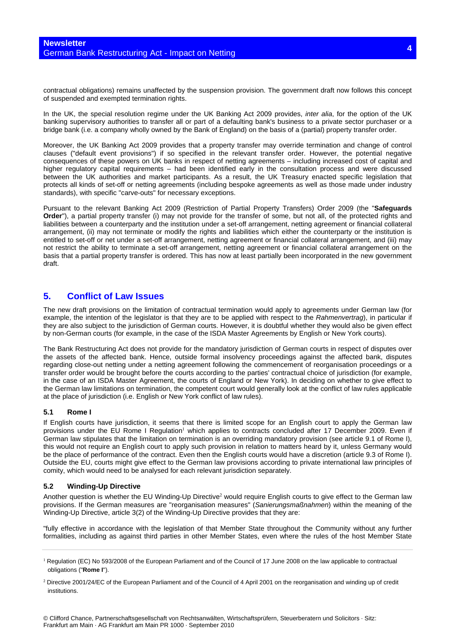contractual obligations) remains unaffected by the suspension provision. The government draft now follows this concept of suspended and exempted termination rights.

In the UK, the special resolution regime under the UK Banking Act 2009 provides, *inter alia*, for the option of the UK banking supervisory authorities to transfer all or part of a defaulting bank's business to a private sector purchaser or a bridge bank (i.e. a company wholly owned by the Bank of England) on the basis of a (partial) property transfer order.

Moreover, the UK Banking Act 2009 provides that a property transfer may override termination and change of control clauses ("default event provisions") if so specified in the relevant transfer order. However, the potential negative consequences of these powers on UK banks in respect of netting agreements – including increased cost of capital and higher regulatory capital requirements – had been identified early in the consultation process and were discussed between the UK authorities and market participants. As a result, the UK Treasury enacted specific legislation that protects all kinds of set-off or netting agreements (including bespoke agreements as well as those made under industry standards), with specific "carve-outs" for necessary exceptions.

Pursuant to the relevant Banking Act 2009 (Restriction of Partial Property Transfers) Order 2009 (the "**Safeguards Order**"), a partial property transfer (i) may not provide for the transfer of some, but not all, of the protected rights and liabilities between a counterparty and the institution under a set-off arrangement, netting agreement or financial collateral arrangement, (ii) may not terminate or modify the rights and liabilities which either the counterparty or the institution is entitled to set-off or net under a set-off arrangement, netting agreement or financial collateral arrangement, and (iii) may not restrict the ability to terminate a set-off arrangement, netting agreement or financial collateral arrangement on the basis that a partial property transfer is ordered. This has now at least partially been incorporated in the new government draft.

## **5. Conflict of Law Issues**

The new draft provisions on the limitation of contractual termination would apply to agreements under German law (for example, the intention of the legislator is that they are to be applied with respect to the *Rahmenvertrag*), in particular if they are also subject to the jurisdiction of German courts. However, it is doubtful whether they would also be given effect by non-German courts (for example, in the case of the ISDA Master Agreements by English or New York courts).

The Bank Restructuring Act does not provide for the mandatory jurisdiction of German courts in respect of disputes over the assets of the affected bank. Hence, outside formal insolvency proceedings against the affected bank, disputes regarding close-out netting under a netting agreement following the commencement of reorganisation proceedings or a transfer order would be brought before the courts according to the parties' contractual choice of jurisdiction (for example, in the case of an ISDA Master Agreement, the courts of England or New York). In deciding on whether to give effect to the German law limitations on termination, the competent court would generally look at the conflict of law rules applicable at the place of jurisdiction (i.e. English or New York conflict of law rules).

#### **5.1 Rome I**

If English courts have jurisdiction, it seems that there is limited scope for an English court to apply the German law provisions under the EU Rome I Regulation<sup>1</sup> which applies to contracts concluded after 17 December 2009. Even if German law stipulates that the limitation on termination is an overriding mandatory provision (see article 9.1 of Rome I), this would not require an English court to apply such provision in relation to matters heard by it, unless Germany would be the place of performance of the contract. Even then the English courts would have a discretion (article 9.3 of Rome I). Outside the EU, courts might give effect to the German law provisions according to private international law principles of comity, which would need to be analysed for each relevant jurisdiction separately.

#### **5.2 Winding-Up Directive**

Another question is whether the EU Winding-Up Directive<sup>2</sup> would require English courts to give effect to the German law provisions. If the German measures are "reorganisation measures" (*Sanierungsmaßnahmen*) within the meaning of the Winding-Up Directive, article 3(2) of the Winding-Up Directive provides that they are:

"fully effective in accordance with the legislation of that Member State throughout the Community without any further formalities, including as against third parties in other Member States, even where the rules of the host Member State

<sup>&</sup>lt;sup>1</sup> Regulation (EC) No 593/2008 of the European Parliament and of the Council of 17 June 2008 on the law applicable to contractual obligations ("**Rome I**").

<sup>&</sup>lt;sup>2</sup> Directive 2001/24/EC of the European Parliament and of the Council of 4 April 2001 on the reorganisation and winding up of credit institutions.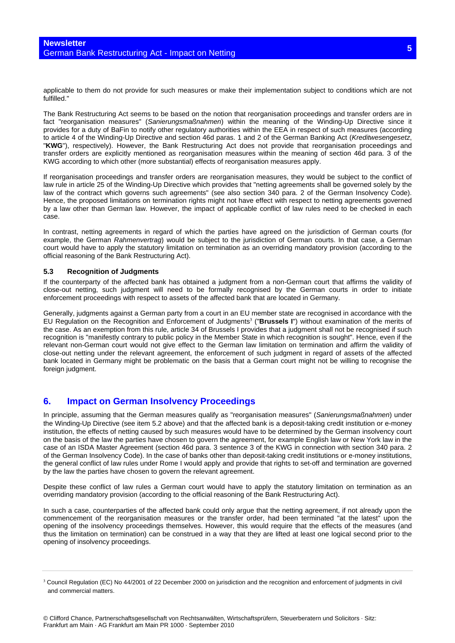applicable to them do not provide for such measures or make their implementation subject to conditions which are not fulfilled."

The Bank Restructuring Act seems to be based on the notion that reorganisation proceedings and transfer orders are in fact "reorganisation measures" (*Sanierungsmaßnahmen*) within the meaning of the Winding-Up Directive since it provides for a duty of BaFin to notify other regulatory authorities within the EEA in respect of such measures (according to article 4 of the Winding-Up Directive and section 46d paras. 1 and 2 of the German Banking Act (*Kreditwesengesetz*, "**KWG**"), respectively). However, the Bank Restructuring Act does not provide that reorganisation proceedings and transfer orders are explicitly mentioned as reorganisation measures within the meaning of section 46d para. 3 of the KWG according to which other (more substantial) effects of reorganisation measures apply.

If reorganisation proceedings and transfer orders are reorganisation measures, they would be subject to the conflict of law rule in article 25 of the Winding-Up Directive which provides that "netting agreements shall be governed solely by the law of the contract which governs such agreements" (see also section 340 para. 2 of the German Insolvency Code). Hence, the proposed limitations on termination rights might not have effect with respect to netting agreements governed by a law other than German law. However, the impact of applicable conflict of law rules need to be checked in each case.

In contrast, netting agreements in regard of which the parties have agreed on the jurisdiction of German courts (for example, the German *Rahmenvertrag*) would be subject to the jurisdiction of German courts. In that case, a German court would have to apply the statutory limitation on termination as an overriding mandatory provision (according to the official reasoning of the Bank Restructuring Act).

#### **5.3 Recognition of Judgments**

If the counterparty of the affected bank has obtained a judgment from a non-German court that affirms the validity of close-out netting, such judgment will need to be formally recognised by the German courts in order to initiate enforcement proceedings with respect to assets of the affected bank that are located in Germany.

Generally, judgments against a German party from a court in an EU member state are recognised in accordance with the EU Regulation on the Recognition and Enforcement of Judgments<sup>3</sup> ("**Brussels I**") without examination of the merits of the case. As an exemption from this rule, article 34 of Brussels I provides that a judgment shall not be recognised if such recognition is "manifestly contrary to public policy in the Member State in which recognition is sought". Hence, even if the relevant non-German court would not give effect to the German law limitation on termination and affirm the validity of close-out netting under the relevant agreement, the enforcement of such judgment in regard of assets of the affected bank located in Germany might be problematic on the basis that a German court might not be willing to recognise the foreign judgment.

## **6. Impact on German Insolvency Proceedings**

In principle, assuming that the German measures qualify as "reorganisation measures" (*Sanierungsmaßnahmen*) under the Winding-Up Directive (see item 5.2 above) and that the affected bank is a deposit-taking credit institution or e-money institution, the effects of netting caused by such measures would have to be determined by the German insolvency court on the basis of the law the parties have chosen to govern the agreement, for example English law or New York law in the case of an ISDA Master Agreement (section 46d para. 3 sentence 3 of the KWG in connection with section 340 para. 2 of the German Insolvency Code). In the case of banks other than deposit-taking credit institutions or e-money institutions, the general conflict of law rules under Rome I would apply and provide that rights to set-off and termination are governed by the law the parties have chosen to govern the relevant agreement.

Despite these conflict of law rules a German court would have to apply the statutory limitation on termination as an overriding mandatory provision (according to the official reasoning of the Bank Restructuring Act).

In such a case, counterparties of the affected bank could only argue that the netting agreement, if not already upon the commencement of the reorganisation measures or the transfer order, had been terminated "at the latest" upon the opening of the insolvency proceedings themselves. However, this would require that the effects of the measures (and thus the limitation on termination) can be construed in a way that they are lifted at least one logical second prior to the opening of insolvency proceedings.

<sup>&</sup>lt;sup>3</sup> Council Regulation (EC) No 44/2001 of 22 December 2000 on jurisdiction and the recognition and enforcement of judgments in civil and commercial matters.